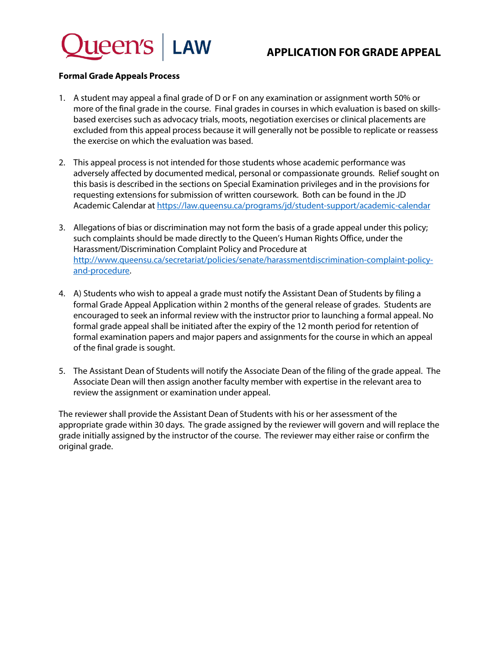

## **APPLICATION FOR GRADE APPEAL**

### **Formal Grade Appeals Process**

- 1. A student may appeal a final grade of D or F on any examination or assignment worth 50% or more of the final grade in the course. Final grades in courses in which evaluation is based on skillsbased exercises such as advocacy trials, moots, negotiation exercises or clinical placements are excluded from this appeal process because it will generally not be possible to replicate or reassess the exercise on which the evaluation was based.
- 2. This appeal process is not intended for those students whose academic performance was adversely affected by documented medical, personal or compassionate grounds. Relief sought on this basis is described in the sections on Special Examination privileges and in the provisions for requesting extensions for submission of written coursework. Both can be found in the JD Academic Calendar at<https://law.queensu.ca/programs/jd/student-support/academic-calendar>
- 3. Allegations of bias or discrimination may not form the basis of a grade appeal under this policy; such complaints should be made directly to the Queen's Human Rights Office, under the Harassment/Discrimination Complaint Policy and Procedure at [http://www.queensu.ca/secretariat/policies/senate/harassmentdiscrimination-complaint-policy](http://www.queensu.ca/secretariat/policies/senate/harassmentdiscrimination-complaint-policy-and-procedure)[and-procedure.](http://www.queensu.ca/secretariat/policies/senate/harassmentdiscrimination-complaint-policy-and-procedure)
- 4. A) Students who wish to appeal a grade must notify the Assistant Dean of Students by filing a formal Grade Appeal Application within 2 months of the general release of grades. Students are encouraged to seek an informal review with the instructor prior to launching a formal appeal. No formal grade appeal shall be initiated after the expiry of the 12 month period for retention of formal examination papers and major papers and assignments for the course in which an appeal of the final grade is sought.
- 5. The Assistant Dean of Students will notify the Associate Dean of the filing of the grade appeal. The Associate Dean will then assign another faculty member with expertise in the relevant area to review the assignment or examination under appeal.

The reviewer shall provide the Assistant Dean of Students with his or her assessment of the appropriate grade within 30 days. The grade assigned by the reviewer will govern and will replace the grade initially assigned by the instructor of the course. The reviewer may either raise or confirm the original grade.